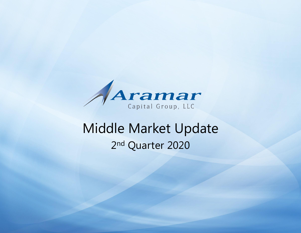

# Middle Market Update 2<sup>nd</sup> Quarter 2020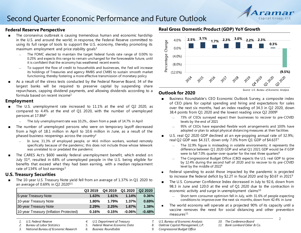### Second Quarter Economic Performance and Future Outlook

#### **Federal Reserve Perspective**

- The coronavirus outbreak is causing tremendous human and economic hardship in the U.S. and around the world; in response, the Federal Reserve committed to using its full range of tools to support the U.S. economy, thereby promoting its maximum employment and price stability goals $1$ 
	- The FOMC elected to maintain the target federal funds rate range of 0.00% to 0.25% and expects this range to remain unchanged for the foreseeable future, until it is confident that the economy has weathered recent events
	- To support the flow of credit to households and businesses, the Fed will increase its holdings of Treasuries and agency RMBS and CMBS to sustain smooth market functioning, thereby fostering a more effective transmission of monetary policy
- As a result of the stress tests conducted by the Federal Reserve Board, 34 of the largest banks will be required to preserve capital by suspending share repurchases, capping dividend payments, and allowing dividends according to a formula based on recent income<sup>1</sup>

#### **Employment**

- The U.S. unemployment rate increased to 11.1% at the end of Q2 2020, as compared to 4.4% at the end of Q1 2020, with the number of unemployed persons at 17.8M<sup>2</sup>
	- The July unemployment rate was 10.2%., down from a peak of 14.7% in April
- The number of unemployed persons who were on temporary layoff decreased from a high of 18.1 million in April to 10.6 million in June, as a result of the phased business reopenings across the country<sup>2</sup>
	- In June, 31.3% of employed people, or 44.6 million workers, worked remotely specifically because of the pandemic; this does not include those whose telework was unrelated to or predated the pandemic
- The CARES Act's \$600 weekly federal unemployment benefit, which ended on July 31<sup>st</sup>, resulted in 68% of unemployed people in the U.S. being eligible for benefits that exceed what they had been earning, with a median replacement rate of  $134\%$  of lost earnings<sup>3</sup>

#### **U.S. Treasury Securities**

The 10-year U.S. Treasury Note yield fell from an average of 1.37% in Q1 2020 to an average of 0.69% in Q2 2020 $4.5$ 

|                                        | Q3 2019 | Q4 2019 | Q1 2020   | Q <sub>2</sub> 20 <sub>20</sub> |
|----------------------------------------|---------|---------|-----------|---------------------------------|
| 5-year Treasury Note                   | 1.63%   | 1.61%   | 1.14%     | 0.36%                           |
| 10-year Treasury Note                  | 1.80%   | 1.79%   | 1.37%     | 0.69%                           |
| 30-year Treasury Note                  | 2.29%   | 2.25%   | 1.87%     | 1.38%                           |
| 10-year Treasury (Inflation Protected) | 0.16%   | 0.15%   | $-0.06\%$ | $-0.48%$                        |

- *1. U.S. Federal Reserve*
- *2. Bureau of Labor Statistics*
- *3. National Bureau of Economic Research*
- *4. U.S. Department of Treasury*
- *5. Federal Reserve Economic Data*
- *6. Business Roundtable*

#### **Real Gross Domestic Product (GDP) YoY Growth**



#### **Outlook for 2020**

- Business Roundtable's CEO Economic Outlook Survey, a composite index of CEO plans for capital spending and hiring and expectations for sales over the next six months, had an index reading of 34.3 in Q2 2020, down 38.4 points from Q1 2020 and the lowest reading since Q2 2009<sup>6</sup>
	- 73% of CEOs surveyed expect their businesses to recover to pre-COVID levels by the end of 2021
	- 95% of CEOs have expanded flexible work arrangements and 100% have adopted or plan to adopt physical distancing measures at their facilities
- U.S. real Q2 2020 GDP declined at an eye-popping annual rate of 32.9%; real Q2 GDP was \$4.31T, down only 7.0% from Q1 GDP of \$4.63T7
	- The 32.9% figure is misleading in volatile environments; it represents the difference between Q1 2020 GDP and what Q1 2021 GDP would be if GDP were to fall 7.0% quarter-over-quarter for the next three quarters<sup>8</sup>
	- The Congressional Budget Office (CBO) expects the U.S. real GDP to grow by 12.4% during the second half of 2020 and to recover to its pre-COVID level by the middle of 2022<sup>9</sup>
- Federal spending to assist those impacted by the pandemic is projected to increase the federal deficit by \$2.2T in fiscal 2020 and by \$0.6T in 2021<sup>9</sup>
- The U.S. Consumer Confidence Index decreased in July to 92.6, down from 98.3 in June and 120.0 at the end of Q1 2020 due to the contraction in economic activity and surge in unemployment claims<sup>10</sup>
	- ― Short-term consumer optimism fell in July, with 31.6% of people expecting conditions to improve over the next six months, down from 42.4% in June
- The world economy will operate at a projected 90% of its capacity until a vaccine removes the need for social distancing and other prevention  $measures<sup>11</sup>$

*8. Oaktree Capital Management, L.P.*

*9. Congressional Budget Office*

Capital Group, LLC

*<sup>7.</sup> U.S. Bureau of Economic Analysis*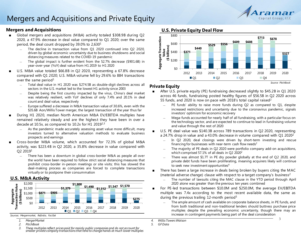

### Mergers and Acquisitions and Private Equity

#### **Mergers and Acquisitions**

- Global mergers and acquisitions (M&A) activity totaled \$308.9B during Q2 2020, a 47.9% decrease in deal value compared to Q1 2020; over the same period, the deal count dropped by  $39.0\%$  to  $2,630<sup>1</sup>$ 
	- The decline in transaction value from Q1 2020 continued into Q2 2020, driven by global economic uncertainty due to business shutdowns and social distancing measures related to the COVID-19 pandemic
	- The global impact is further evident from the 52.7% decrease (\$901.6B) in year-over-year (YoY) deal value from H1 2019 to H1 2020
- U.S. M&A value totaled \$66.8B in Q2 2020, representing a 67.8% decrease compared with Q1 2020; U.S. M&A volume fell by 29.6% to 884 transactions over the same period $1$ 
	- Total deal value in H1 2020 was \$274.5B as double-digit declines across all sectors in the U.S. market led to the lowest H1 activity since 2003
	- Despite being the first country impacted by the virus, China's deal market was relatively resilient, with YoY declines of only 7.4% and 20.1% in deal count and deal value, respectively
	- Europe suffered a decrease in M&A transaction value of 30.6%, even with the \$35.6B Aon/Willis Tower merger, the largest transaction of the year thus far
- During H1 2020, median North American M&A EV/EBITDA multiples have remained relatively steady and are the highest they have been in over a decade at 10.5x, as compared to 10.2x for H1 20192,3
	- As the pandemic made accurately assessing asset value more difficult, many investors turned to alternative valuation methods to evaluate business prospects and earnings
- Cross-border M&A volume, which accounted for 72.3% of global M&A activity, was \$223.4B in Q2 2020, a 35.8% decrease in value compared with Q2 2019<sup>1</sup>
	- There has been a downturn in global cross-border M&A as people all over the world have been required to follow strict social distancing measures that prohibit cross-border in-person meetings or site visits; this has slowed the deal-making process as companies are forced to complete transactions virtually or to postpone their consummation

#### **U.S. M&A Activity**



*Sources: Mergermarket, Refinitiv, FactSet*

- *1. MergerMarket*
- *2. PitchBook*
- *3. These multiples reflect prices paid for mainly public companies and do not account for smaller private company transactions that tend to change hands at much lower multiples*

#### **U.S. Private Equity Deal Flow**



#### **Private Equity**

- After U.S. private equity (PE) fundraising decreased slightly to \$45.2B in Q1 2020 across 46 funds, fundraising posted healthy figures of \$56.5B in Q2 2020 across 55 funds, and 2020 is now on pace with 2018's total capital raised<sup>2</sup>
	- PE funds' ability to raise more funds during Q2 as compared to Q1, despite increased restrictions and uncertainty due to the coronavirus pandemic, signals investors' optimism for economic recovery
	- Mega-funds accounted for nearly half of all fundraising, with a particular focus on the technology sector, and are expected to continue to lead in fundraising volume and value through the rest of 2020
- U.S. PE deal value was \$140.3B across 789 transactions in O2 2020, representing a 24.7% drop in value and a 43.0% decrease in volume compared with  $Q1 2020^2$ 
	- In Q2 2020, deal closings were driven by short-term investing and rescue financing for businesses with near-term cash flow needs<sup>2</sup>
	- The majority of PE deals in Q2 2020 were portfolio company add-on acquisitions, which comprised 57.1% of all deals in Q2 2020<sup>2</sup>
	- There was almost \$1.7T in PE dry powder globally at the end of Q2 2020, and private debt funds have been proliferating, meaning acquirers likely will continue to seek new investment opportunities<sup>4</sup>
- There has been a large increase in deals being broken by buyers citing the MAC (material adverse change) clause with respect to a target company's business<sup>2</sup>
	- The number of lawsuits citing the MAC clause in the YTD period through April 2020 alone was greater than the previous ten years combined
- For PE-led transactions between \$10.0M and \$250.0M, the average EV/EBITDA multiple was 7.4x according to the most recent available data, the same as during the previous trailing 12-month period<sup>5</sup>
	- ― The ample amount of cash available on corporate balance sheets, in PE funds, and from both traditional and non-traditional lenders should buttress purchase price multiples despite the prevailing economic uncertainty, though there may an increase in contingent payments being part of the deal consideration

*5. GF Data*

*<sup>4.</sup> Willis Towers Watson*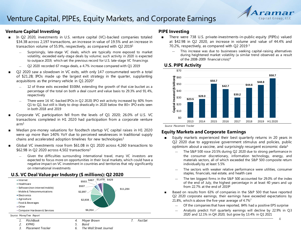

#### **Venture Capital Investing**

- In Q2 2020, investments in U.S. venture capital (VC)-backed companies totaled \$34.3B across 2,197 transactions, an increase in value of 19.5% and an increase in transaction volume of 55.9%, respectively, as compared with Q2 2019<sup>1</sup>
	- Surprisingly, late-stage VC deals, which are typically more exposed to market volatility, exceeded early-stage deals by volume; such activity in 2020 is expected to outpace 2019, which set the previous record for U.S. late-stage VC financings
	- Q2 2020 recorded 67 mega-deals, a 4.7% increase compared with Q1 2019
- Q2 2020 saw a slowdown in VC exits, with only 147 consummated worth a total of \$21.2B; IPOs made up the largest exit strategy in the quarter, supplanting acquisitions as the primary vehicle in Q1 2020<sup>1</sup>
	- 12 of these exits exceeded \$500M, extending the growth of that size bucket as a percentage of the total on both a deal count and value basis to 29.3% and 91.4%, respectively
	- There were 16 VC-backed IPOs in Q2 2020; IPO exit activity increased by 60% from Q1 to Q2, but still is likely to drop drastically in 2020 below the 80+ IPO exits seen in both 2018 and 2019
- Corporate VC participation fell from the levels of Q1 2020; 26.0% of U.S. VC transactions completed in H1 2020 had participation from a corporate venture  $arm<sup>1</sup>$
- Median pre-money valuations for foodtech startup VC capital raises in H1 2020 were up more than 140% YoY due to perceived weaknesses in traditional supply chains and accelerated adoption timelines for new technologies<sup>1</sup>
- Global VC investments rose from  $$61.0B$  in Q1 2020 across 4,260 transactions to \$62.9B in Q2 2020 across 4,502 transactions<sup>2</sup>
	- Given the difficulties surrounding international travel, many VC investors are expected to focus more on opportunities in their local markets, which could have a negative impact on VC investment in countries and territories that rely significantly on international investments

#### **U.S. VC Deal Value per Industry (\$ millions): Q2 2020**



#### **PIPE Investing**

- There were 738 U.S. private-investments-in-public-equity (PIPEs) valued at \$42.9B in Q2 2020, an increase in volume and value of 44.4% and 70.2%, respectively, as compared with Q2 2019 $3$ 
	- ― This increase was due to businesses seeking capital-raising alternatives during heightened market volatility (a similar trend observed as a result of the 2008-2009 financial crisis)<sup>4</sup>

#### **U.S. PIPE Activity**



*Source: Placement Tracker*

#### **Equity Markets and Corporate Earnings**

- Equity markets experienced their best quarterly returns in 20 years in Q2 2020 due to aggressive government stimulus and policies, public optimism about a vaccine, and surprisingly resurgent economic data<sup>5</sup>
	- The S&P 500 rose 20.5% during Q2 2020 due to strong performance in the consumer discretionary, information technology, energy, and materials sectors, all of which exceeded the S&P 500 composite return individually by at least 5.5%
	- ― The sectors with weaker relative performance were utilities, consumer staples, financials, real estate, and health care
	- ― The ten biggest firms in the S&P 500 accounted for 29.0% of the index of the end of July, the highest percentage in at least 40 years and up from 22.7% at the end of 2019<sup>6</sup>
- Based on results from 63% of companies in the S&P 500 that have reported Q2 2020 corporate earnings, their earnings have exceeded expectations by 21.8%, which is above the five-year average of  $4.7\%$ <sup>7</sup>
	- Of the companies that have reported, 84% had a positive EPS surprise
	- Analysts predict YoY quarterly earnings will decline by 22.9% in Q3 2020 and 12.1% in Q4 2020, but grow by 13.4% in Q1 2021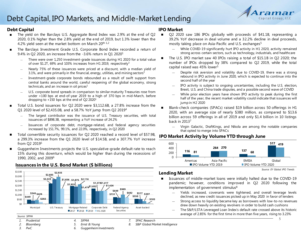

#### **Debt Capital**

- The yield on the Barclays U.S. Aggregate Bond Index was 2.9% at the end of Q2 2020, 0.1% higher than the 2.8% yield at the end of 2019, but 1.3% lower than the 4.2% yield seen at the market bottom on March  $20^{th}$  1.2
- The Barclays Investment Grade U.S. Corporate Bond Index recorded a return of 9.4% in Q2 2020, an increase from the -3.6% return in Q1 2020<sup>1</sup>
	- There were over 1,250 investment-grade issuances during H1 2020 for a total value of over \$1.2T, 69% and 103% increases from H1 2019, respectively<sup>3</sup>
	- Nearly 75% of these issuances were priced at a discount, with a median yield of 3.1%, and were primarily in the financial, energy, utilities, and mining sectors<sup>3</sup>
	- ― Investment-grade corporate bonds rebounded as a result of swift support from central banks around the world, careful reopening of the global economy, strong technicals, and an increase in oil prices $1$
	- U.S. corporate bond spreads in comparison to similar-maturity Treasuries rose from under +100 bps at end-of-year 2019 to a high of 370 bps in mid-March, before dropping to  $+150$  bps at the end of Q2 2020<sup>1</sup>
- Total U.S. bond issuances for Q2 2020 were \$3,112.6B, a 27.8% increase from the Q1 2020 level of \$2,435.0B, and a 58.7% YoY jump from Q2 2019<sup>4</sup>
	- The largest contributor was the issuance of U.S. Treasury securities, with total issuances of \$898.3B, representing a YoY increase of 24.2%
	- ― Issuances of corporate debt, mortgage-related, and federal agency securities increased by 151.7%, 99.1%, and 22.0%, respectively, in Q2 2020
- Total convertible security issuances for Q2 2020 reached a record level of \$57.9B, a 299.3% increase from the Q1 2020 level of \$14.5B, and a 307.7% YoY increase from Q2 2019<sup>5</sup>
- Guggenheim Investments projects the U.S. speculative-grade default rate to reach 15% during this downturn, which would be higher than during the recessions of 1990, 2002, and 2009<sup>6</sup>

#### **\$449 \$2,224 \$1,935 \$1,652 \$1,479 \$1,426 \$731 \$550 \$346 \$2,685 \$1,875 \$2,116 \$1,656 \$1,373 \$1,417 \$649 \$989 \$517 \$426 \$307 \$682 \$2,935 \$202 \$103**  \$0 \$500 \$1,000 \$1,500 \$2,000 \$2,500 \$3,000 \$3,500 Municipal U.S. Treasury Mortgage-Related Corporate Debt Federal Agency **Securities** Asset-backed 2017 2018 2019 H1 2020 *Source: SIFMA 1. Prudential 2. Bloomberg 3. PwC 4. SIFMA 5. Ernst & Young 6. Guggenheim Investments 7. SPAC Research*

### **Issuances in the U.S. Bond Market (\$ billions)**

#### **IPO Market**

- Q2 2020 saw 186 IPOs globally with proceeds of \$41.1B, representing a 39.2% YoY decrease in deal volume and a 32.2% decline in deal proceeds, mostly taking place on Asia-Pacific and U.S. exchanges<sup>5</sup>
	- While COVID-19 significantly hurt IPO activity in H1 2020, activity remained strong across certain sectors, such as technology, industrials, and healthcare
- The U.S. IPO market saw 40 IPOs raising a total of \$15.1B in Q2 2020; the number of IPOs dropped by 38% compared to Q2 2019, while the total capital raised was 45% lower<sup>5</sup>
	- Despite risk aversion and volatility due to COVID-19, there was a strong rebound in IPO activity in June 2020, which is expected to continue into the second half of the year
	- IPO activity is subject to ongoing uncertainties, including the U.S. election, Brexit, U.S. and China trade disputes, and a possible second wave of COVID
	- While prior election years have shown IPO activity to peak during the first half of the year, the recent market volatility could indicate that issuances will jump in H2 2020
- Blank-check companies (SPACs) raised \$19 billion across 50 offerings in H1 2020, with an average size of nearly \$380 million, as compared to \$13.6 billion across 59 offerings in all of 2019 and only \$1.4 billion in 10 listings back in 2013<sup>7</sup>
	- ― Virgin Galactic, DraftKings, and Nikola are among the notable companies that opted to merge into SPACs

#### **IPO Market Activity by Volume YTD through June**



### **Lending Market**

- Issuances of middle-market loans were initially halted due to the COVID-19 pandemic; however, conditions improved in Q2 2020 following the implementation of government stimulus $8$ 
	- Yields increased, covenants were tightened, and overall leverage levels declined, as new credit issuances picked up in May 2020 in favor of lenders
	- Strong access to liquidity became key as borrowers with low-to-no revenues drew down heavily on existing revolvers in order to build cash cushions
	- The S&P/LSTA Leveraged Loan Index's default rate crossed above its historic average of 2.85% for the first time in more than five years, rising to 3.23%

*Source: EY Global IPO Trends*

*8. S&P Global Market Intelligence*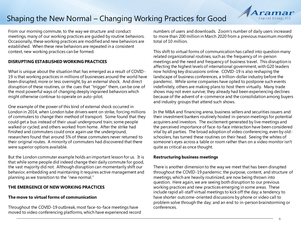## Shaping the New Normal – Changing Working Practices for Good

From our morning commute, to the way we structure and conduct meetings, many of our working practices are guided by routine behaviors. Occasionally, these working practices are modified and new behaviors are established. When these new behaviors are repeated in a consistent context, new working practices can be formed.

#### **DISRUPTING ESTABLISHED WORKING PRACTICES**

What is unique about the situation that has emerged as a result of COVID-19 is that working practices in millions of businesses around the world have been disrupted, more or less overnight, by an external shock. And direct disruption of these routines, or the cues that "trigger" them, can be one of the most powerful ways of changing deeply ingrained behaviors which might otherwise continue to operate on auto-pilot.

One example of the power of this kind of external shock occurred in London in 2014, when London tube drivers went on strike, forcing millions of commuters to change their method of transport. Some found that they could get a bus instead of their usual underground train; some people walked or cycled; and others worked from home. After the strike had finished and commuters could once again use the underground, researchers found that around 5% of these commuters never returned to their original routes. A minority of commuters had discovered that there were superior options available.

But the London commuter example holds an important lesson for us. It is that while some people did indeed change their daily commute for good, the vast majority did not. Although disruption can momentarily shift our behavior, embedding and maintaining it requires active management and planning as we transition to the "new normal."

#### **THE EMERGENCE OF NEW WORKING PRACTICES**

#### **The move to virtual forms of communication**

Throughout the COVID-19 outbreak, most face-to-face meetings have moved to video conferencing platforms, which have experienced record numbers of users and downloads. Zoom's number of daily users increased to more than 200 million in March 2020 from a previous maximum monthly total of 10 million.

This shift to virtual forms of communication has called into question many related organizational routines, such as the frequency of in-person meetings and the need and frequency of business travel. This disruption is affecting the highest levels of international government, with G20 leaders now holding key discussions online. COVID-19 is also reshaping the landscape of business conferences, a trillion-dollar industry before the pandemic. While some companies have opted to postpone such events indefinitely, others are making plans to host them virtually. Many trade shows may not even survive; they already had been experiencing declines because of the advent of e-commerce and the consolidation among buyers and industry groups that attend such shows.

In the M&A and financing arena, business sellers and securities issuers and their investment bankers routinely hosted in-person meetings for potential acquirers and investors. The excitement generated by live meetings and the perceived importance of face-to-face interaction have been considered vital by all parties. The broad adoption of video conferencing, even by oldschoolers, has turned these routines on their head. Seeing the whites of someone's eyes across a table or room rather than on a video monitor isn't quite as critical as once thought.

#### **Restructuring business meetings**

There is another dimension to the way we meet that has been disrupted throughout the COVID-19 pandemic: the purpose, content, and structure of meetings, which are heavily routinized, are now being thrown into question. Here again, we are seeing both disruption to our previous working practices and new practices emerging in some areas. These include rapid all-staff virtual meetings to kick off the day; a tendency to have shorter outcome-oriented discussions by phone or video call to problem solve through the day; and an end to in-person brainstorming or conferences.

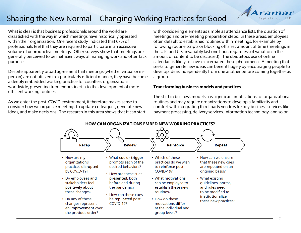# Shaping the New Normal – Changing Working Practices for Good

What is clear is that business professionals around the world are dissatisfied with the way in which meetings have historically operated within their organization. One recent study indicated that 67% of professionals feel that they are required to participate in an excessive volume of unproductive meetings. Other surveys show that meetings are generally perceived to be inefficient ways of managing work and often lack purpose.

Despite apparently broad agreement that meetings (whether virtual or inperson) are not utilized in a particularly efficient manner, they have become a deeply embedded working practice for countless organizations worldwide, presenting tremendous inertia to the development of more efficient working routines.

As we enter the post-COVID environment, it therefore makes sense to consider how we organize meetings to update colleagues, generate new ideas, and make decisions. The research in this area shows that it can start with considering elements as simple as attendance lists, the duration of meetings, and pre-meeting preparation steps. In these areas, employees often default to established routines within meetings, for example by following routine scripts or blocking off a set amount of time (meetings in the U.K. and U.S. invariably last one hour, regardless of variation in the amount of content to be discussed). The ubiquitous use of online calendars is likely to have exacerbated these phenomena. A meeting that seeks to generate new ideas can benefit hugely by encouraging people to develop ideas independently from one another before coming together as a group.

#### **Transforming business models and practices**

The shift in business models has significant implications for organizational routines and may require organizations to develop a familiarity and comfort with integrating third-party vendors for key business services like payment processing, delivery services, information technology, and so on.

**HOW CAN ORGANIZATIONS EMBED NEW WORKING PRACTICES?**



Capital Group, LLC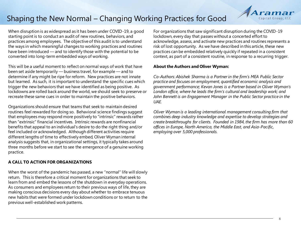# Shaping the New Normal – Changing Working Practices for Good



When disruption is as widespread as it has been under COVID-19, a good starting point is to conduct an audit of new routines, behaviors, and practices among employees. The objective of this audit is to understand the ways in which meaningful changes to working practices and routines have been introduced — and to identify those with the potential to be converted into long-term embedded ways of working.

This will be a useful moment to reflect on normal ways of work that have been set aside temporarily — business travel, for example — and to determine if any might be ripe for reform. New practices are not innate but learned. As such, it is important to understand the specific cues which trigger the new behaviors that we have identified as being positive. As lockdowns are rolled back around the world, we should seek to preserve or recreate these same cues in order to maintain the positive behaviors.

Organizations should ensure that teams that seek to maintain desired routines feel rewarded for doing so. Behavioral science findings suggest that employees may respond more positively to "intrinsic" rewards rather than "extrinsic" financial incentives. Intrinsic rewards are nonfinancial benefits that appeal to an individual's desire to do the right thing and/or feel included or acknowledged. Although different activities require different lengths of time to effectively embed, Oliver Wyman internal analysis suggests that, in organizational settings, it typically takes around three months before we start to see the emergence of a genuine working practice.

#### **A CALL TO ACTION FOR ORGANIZATIONS**

When the worst of the pandemic has passed, a new "normal" life will slowly return. This is therefore a critical moment for organizations that seek to learn from and embed the lessons of the shutdown in everyday operations. As consumers and employees return to their previous ways of life, they are making conscious decisions every day about whether to embrace tenuous new habits that were formed under lockdown conditions or to return to the previous well-established work patterns.

For organizations that saw significant disruption during the COVID-19 lockdown, every day that passes without a concerted effort to acknowledge, assess, and activate new practices and routines represents a risk of lost opportunity. As we have described in this article, these new practices can be embedded relatively quickly if repeated in a consistent context, as part of a consistent routine, in response to a recurring trigger.

#### **About the Authors and Oliver Wyman:**

*Co-Authors: Abishek Sharma is a Partner in the firm's MEA Public Sector practice and focuses on employment, quantified economic analysis and government performance; Kevan Jones is a Partner based in Oliver Wyman's*  London office, where he leads the firm's cultural and leadership work; and *John Bennett is an Engagement Manager in the Public Sector practice in the UAE.*

*Oliver Wyman is a leading international management consulting firm that combines deep industry knowledge and expertise to develop strategies and create breakthroughs for clients. Founded in 1984, the firm has more than 60 offices in Europe, North America, the Middle East, and Asia-Pacific, employing over 5,000 professionals.*